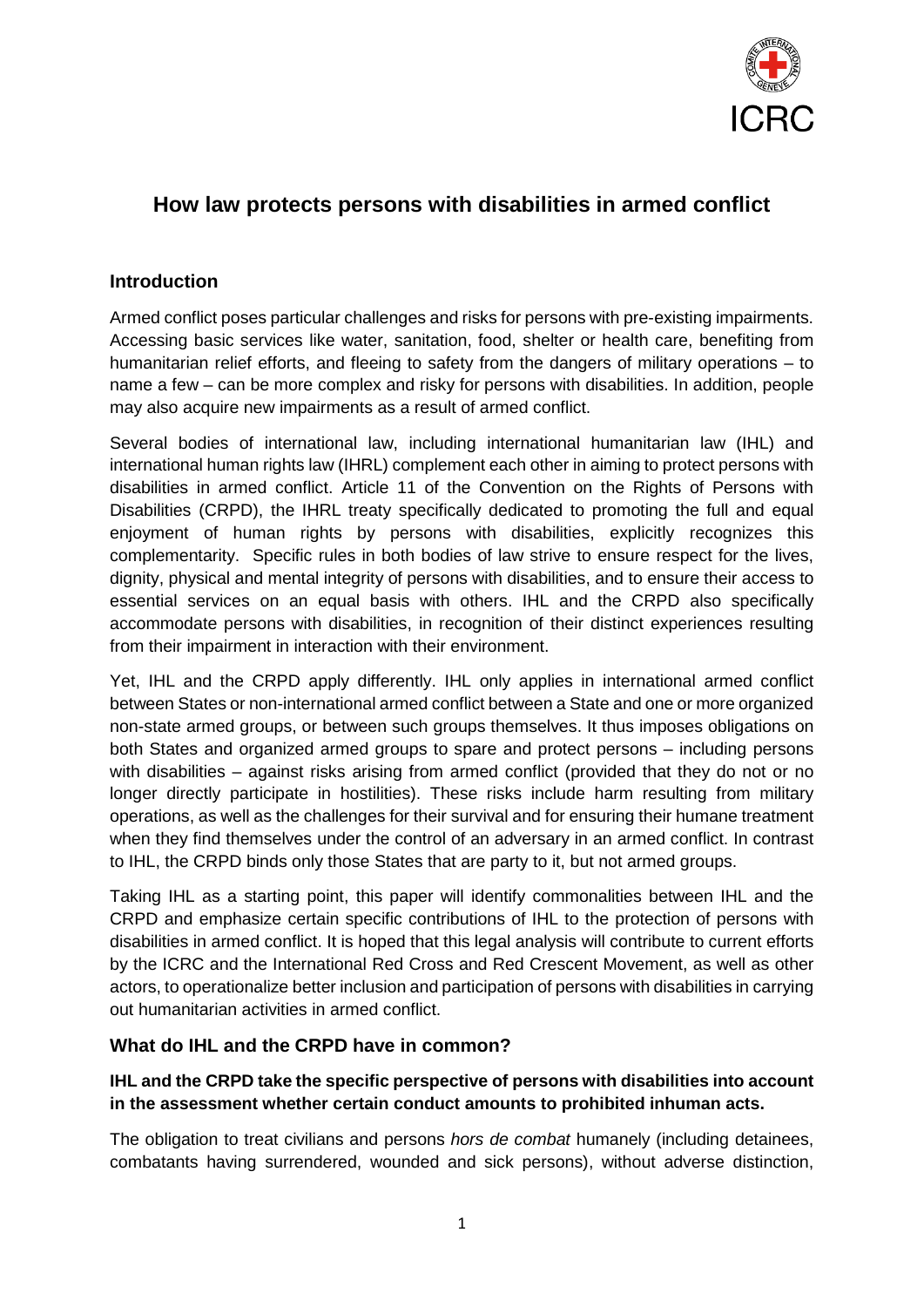

# **How law protects persons with disabilities in armed conflict**

### **Introduction**

Armed conflict poses particular challenges and risks for persons with pre-existing impairments. Accessing basic services like water, sanitation, food, shelter or health care, benefiting from humanitarian relief efforts, and fleeing to safety from the dangers of military operations – to name a few – can be more complex and risky for persons with disabilities. In addition, people may also acquire new impairments as a result of armed conflict.

Several bodies of international law, including international humanitarian law (IHL) and international human rights law (IHRL) complement each other in aiming to protect persons with disabilities in armed conflict. Article 11 of the Convention on the Rights of Persons with Disabilities (CRPD), the IHRL treaty specifically dedicated to promoting the full and equal enjoyment of human rights by persons with disabilities, explicitly recognizes this complementarity. Specific rules in both bodies of law strive to ensure respect for the lives, dignity, physical and mental integrity of persons with disabilities, and to ensure their access to essential services on an equal basis with others. IHL and the CRPD also specifically accommodate persons with disabilities, in recognition of their distinct experiences resulting from their impairment in interaction with their environment.

Yet, IHL and the CRPD apply differently. IHL only applies in international armed conflict between States or non-international armed conflict between a State and one or more organized non-state armed groups, or between such groups themselves. It thus imposes obligations on both States and organized armed groups to spare and protect persons – including persons with disabilities – against risks arising from armed conflict (provided that they do not or no longer directly participate in hostilities). These risks include harm resulting from military operations, as well as the challenges for their survival and for ensuring their humane treatment when they find themselves under the control of an adversary in an armed conflict. In contrast to IHL, the CRPD binds only those States that are party to it, but not armed groups.

Taking IHL as a starting point, this paper will identify commonalities between IHL and the CRPD and emphasize certain specific contributions of IHL to the protection of persons with disabilities in armed conflict. It is hoped that this legal analysis will contribute to current efforts by the ICRC and the International Red Cross and Red Crescent Movement, as well as other actors, to operationalize better inclusion and participation of persons with disabilities in carrying out humanitarian activities in armed conflict.

#### **What do IHL and the CRPD have in common?**

#### **IHL and the CRPD take the specific perspective of persons with disabilities into account in the assessment whether certain conduct amounts to prohibited inhuman acts.**

The obligation to treat civilians and persons *hors de combat* humanely (including detainees, combatants having surrendered, wounded and sick persons), without adverse distinction,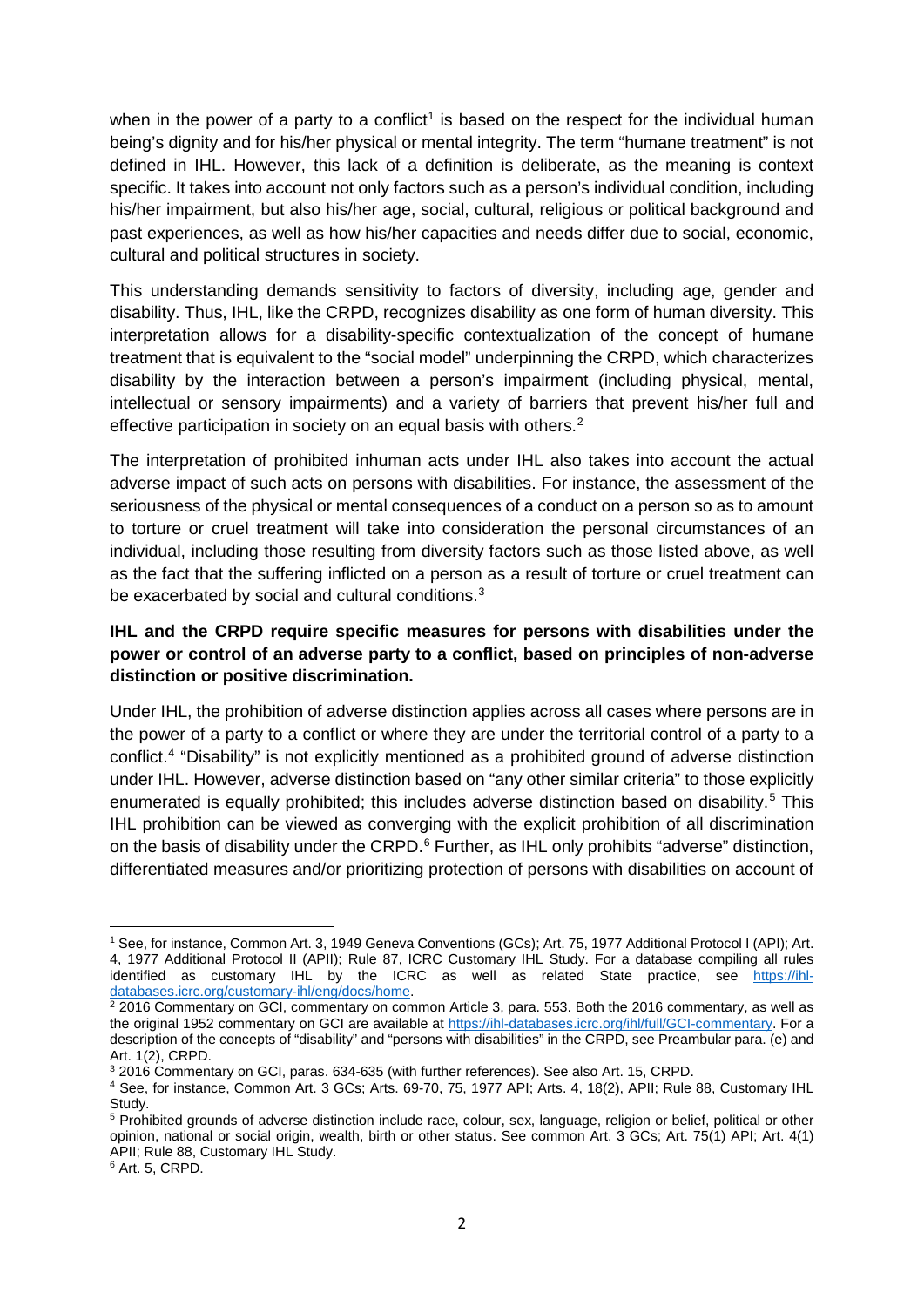when in the power of a party to a conflict<sup>[1](#page-1-0)</sup> is based on the respect for the individual human being's dignity and for his/her physical or mental integrity. The term "humane treatment" is not defined in IHL. However, this lack of a definition is deliberate, as the meaning is context specific. It takes into account not only factors such as a person's individual condition, including his/her impairment, but also his/her age, social, cultural, religious or political background and past experiences, as well as how his/her capacities and needs differ due to social, economic, cultural and political structures in society.

This understanding demands sensitivity to factors of diversity, including age, gender and disability. Thus, IHL, like the CRPD, recognizes disability as one form of human diversity. This interpretation allows for a disability-specific contextualization of the concept of humane treatment that is equivalent to the "social model" underpinning the CRPD, which characterizes disability by the interaction between a person's impairment (including physical, mental, intellectual or sensory impairments) and a variety of barriers that prevent his/her full and effective participation in society on an equal basis with others. $2$ 

The interpretation of prohibited inhuman acts under IHL also takes into account the actual adverse impact of such acts on persons with disabilities. For instance, the assessment of the seriousness of the physical or mental consequences of a conduct on a person so as to amount to torture or cruel treatment will take into consideration the personal circumstances of an individual, including those resulting from diversity factors such as those listed above, as well as the fact that the suffering inflicted on a person as a result of torture or cruel treatment can be exacerbated by social and cultural conditions.<sup>[3](#page-1-2)</sup>

### **IHL and the CRPD require specific measures for persons with disabilities under the power or control of an adverse party to a conflict, based on principles of non-adverse distinction or positive discrimination.**

Under IHL, the prohibition of adverse distinction applies across all cases where persons are in the power of a party to a conflict or where they are under the territorial control of a party to a conflict.[4](#page-1-3) "Disability" is not explicitly mentioned as a prohibited ground of adverse distinction under IHL. However, adverse distinction based on "any other similar criteria" to those explicitly enumerated is equally prohibited; this includes adverse distinction based on disability.<sup>[5](#page-1-4)</sup> This IHL prohibition can be viewed as converging with the explicit prohibition of all discrimination on the basis of disability under the CRPD.<sup>[6](#page-1-5)</sup> Further, as IHL only prohibits "adverse" distinction, differentiated measures and/or prioritizing protection of persons with disabilities on account of

<span id="page-1-0"></span><sup>1</sup> See, for instance, Common Art. 3, 1949 Geneva Conventions (GCs); Art. 75, 1977 Additional Protocol I (API); Art. 4, 1977 Additional Protocol II (APII); Rule 87, ICRC Customary IHL Study. For a database compiling all rules identified as customary IHL by the ICRC as well as related State practice, see [https://ihl](https://ihl-databases.icrc.org/customary-ihl/eng/docs/home)databases.icrc.org/customary-ihl/eng/docs/home.<br><sup>2</sup> 2016 Commentary on GCI, commentary on common Article 3, para. 553. Both the 2016 commentary, as well as  $\overline{a}$ 

<span id="page-1-1"></span>the original 1952 commentary on GCI are available at [https://ihl-databases.icrc.org/ihl/full/GCI-commentary.](https://ihl-databases.icrc.org/ihl/full/GCI-commentary) For a description of the concepts of "disability" and "persons with disabilities" in the CRPD, see Preambular para. (e) and Art. 1(2), CRPD.

<span id="page-1-2"></span><sup>3</sup> 2016 Commentary on GCI, paras. 634-635 (with further references). See also Art. 15, CRPD.

<span id="page-1-3"></span><sup>4</sup> See, for instance, Common Art. 3 GCs; Arts. 69-70, 75, 1977 API; Arts. 4, 18(2), APII; Rule 88, Customary IHL Study.

<span id="page-1-4"></span><sup>&</sup>lt;sup>5</sup> Prohibited grounds of adverse distinction include race, colour, sex, language, religion or belief, political or other opinion, national or social origin, wealth, birth or other status. See common Art. 3 GCs; Art. 75(1) API; Art. 4(1) APII; Rule 88, Customary IHL Study.

<span id="page-1-5"></span><sup>6</sup> Art. 5, CRPD.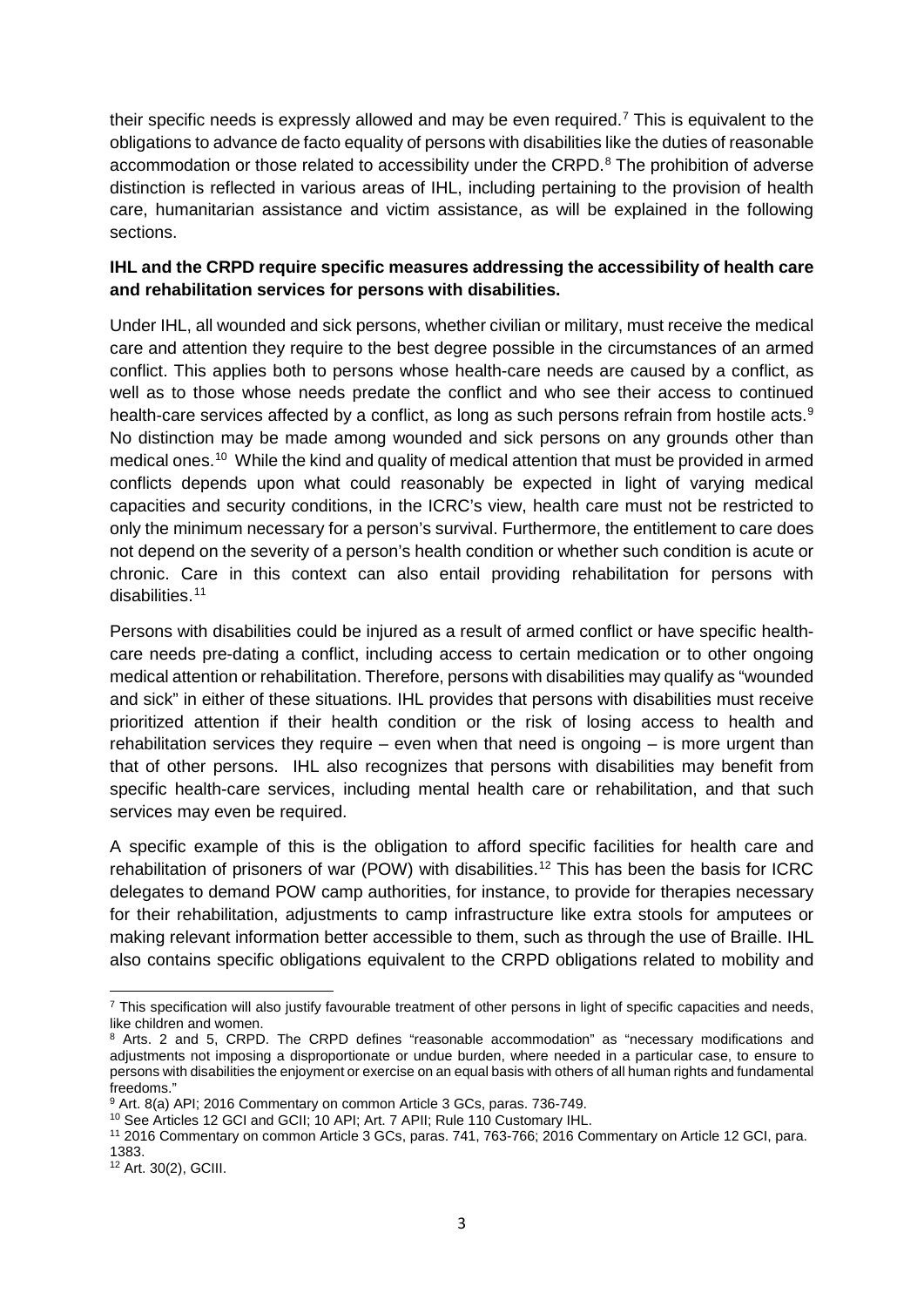their specific needs is expressly allowed and may be even required.[7](#page-2-0) This is equivalent to the obligations to advance de facto equality of persons with disabilities like the duties of reasonable accommodation or those related to accessibility under the CRPD.<sup>[8](#page-2-1)</sup> The prohibition of adverse distinction is reflected in various areas of IHL, including pertaining to the provision of health care, humanitarian assistance and victim assistance, as will be explained in the following sections.

#### **IHL and the CRPD require specific measures addressing the accessibility of health care and rehabilitation services for persons with disabilities.**

Under IHL, all wounded and sick persons, whether civilian or military, must receive the medical care and attention they require to the best degree possible in the circumstances of an armed conflict. This applies both to persons whose health-care needs are caused by a conflict, as well as to those whose needs predate the conflict and who see their access to continued health-care services affected by a conflict, as long as such persons refrain from hostile acts.<sup>[9](#page-2-2)</sup> No distinction may be made among wounded and sick persons on any grounds other than medical ones.[10](#page-2-3) While the kind and quality of medical attention that must be provided in armed conflicts depends upon what could reasonably be expected in light of varying medical capacities and security conditions, in the ICRC's view, health care must not be restricted to only the minimum necessary for a person's survival. Furthermore, the entitlement to care does not depend on the severity of a person's health condition or whether such condition is acute or chronic. Care in this context can also entail providing rehabilitation for persons with disabilities.<sup>[11](#page-2-4)</sup>

Persons with disabilities could be injured as a result of armed conflict or have specific healthcare needs pre-dating a conflict, including access to certain medication or to other ongoing medical attention or rehabilitation. Therefore, persons with disabilities may qualify as "wounded and sick" in either of these situations. IHL provides that persons with disabilities must receive prioritized attention if their health condition or the risk of losing access to health and rehabilitation services they require – even when that need is ongoing  $-$  is more urgent than that of other persons. IHL also recognizes that persons with disabilities may benefit from specific health-care services, including mental health care or rehabilitation, and that such services may even be required.

A specific example of this is the obligation to afford specific facilities for health care and rehabilitation of prisoners of war (POW) with disabilities.<sup>[12](#page-2-5)</sup> This has been the basis for ICRC delegates to demand POW camp authorities, for instance, to provide for therapies necessary for their rehabilitation, adjustments to camp infrastructure like extra stools for amputees or making relevant information better accessible to them, such as through the use of Braille. IHL also contains specific obligations equivalent to the CRPD obligations related to mobility and

l

<span id="page-2-0"></span> $7$  This specification will also justify favourable treatment of other persons in light of specific capacities and needs, like children and women.

<span id="page-2-1"></span><sup>8</sup> Arts. 2 and 5, CRPD. The CRPD defines "reasonable accommodation" as "necessary modifications and adjustments not imposing a disproportionate or undue burden, where needed in a particular case, to ensure to persons with disabilities the enjoyment or exercise on an equal basis with others of all human rights and fundamental freedoms."

<span id="page-2-2"></span><sup>9</sup> Art. 8(a) API; 2016 Commentary on common Article 3 GCs, paras. 736-749.

<span id="page-2-3"></span><sup>&</sup>lt;sup>10</sup> See Articles 12 GCI and GCII; 10 API; Art. 7 APII; Rule 110 Customary IHL.

<span id="page-2-4"></span><sup>11</sup> 2016 Commentary on common Article 3 GCs, paras. 741, 763-766; 2016 Commentary on Article 12 GCI, para. 1383.

<span id="page-2-5"></span><sup>12</sup> Art. 30(2), GCIII.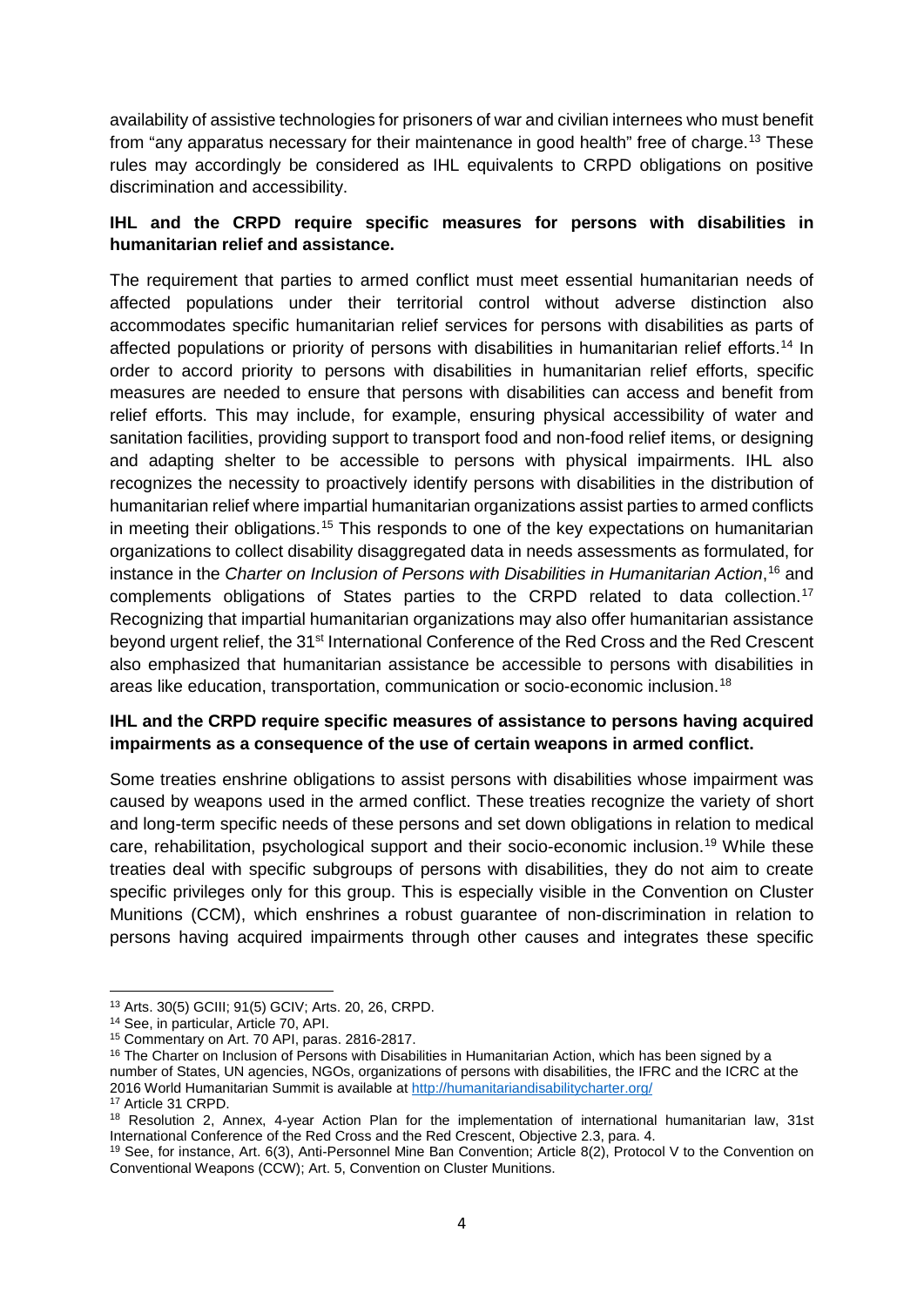availability of assistive technologies for prisoners of war and civilian internees who must benefit from "any apparatus necessary for their maintenance in good health" free of charge.[13](#page-3-0) These rules may accordingly be considered as IHL equivalents to CRPD obligations on positive discrimination and accessibility.

#### **IHL and the CRPD require specific measures for persons with disabilities in humanitarian relief and assistance.**

The requirement that parties to armed conflict must meet essential humanitarian needs of affected populations under their territorial control without adverse distinction also accommodates specific humanitarian relief services for persons with disabilities as parts of affected populations or priority of persons with disabilities in humanitarian relief efforts.[14](#page-3-1) In order to accord priority to persons with disabilities in humanitarian relief efforts, specific measures are needed to ensure that persons with disabilities can access and benefit from relief efforts. This may include, for example, ensuring physical accessibility of water and sanitation facilities, providing support to transport food and non-food relief items, or designing and adapting shelter to be accessible to persons with physical impairments. IHL also recognizes the necessity to proactively identify persons with disabilities in the distribution of humanitarian relief where impartial humanitarian organizations assist parties to armed conflicts in meeting their obligations.<sup>[15](#page-3-2)</sup> This responds to one of the key expectations on humanitarian organizations to collect disability disaggregated data in needs assessments as formulated, for instance in the *Charter on Inclusion of Persons with Disabilities in Humanitarian Action*, [16](#page-3-3) and complements obligations of States parties to the CRPD related to data collection.<sup>[17](#page-3-4)</sup> Recognizing that impartial humanitarian organizations may also offer humanitarian assistance beyond urgent relief, the 31<sup>st</sup> International Conference of the Red Cross and the Red Crescent also emphasized that humanitarian assistance be accessible to persons with disabilities in areas like education, transportation, communication or socio-economic inclusion.[18](#page-3-5)

#### **IHL and the CRPD require specific measures of assistance to persons having acquired impairments as a consequence of the use of certain weapons in armed conflict.**

Some treaties enshrine obligations to assist persons with disabilities whose impairment was caused by weapons used in the armed conflict. These treaties recognize the variety of short and long-term specific needs of these persons and set down obligations in relation to medical care, rehabilitation, psychological support and their socio-economic inclusion.[19](#page-3-6) While these treaties deal with specific subgroups of persons with disabilities, they do not aim to create specific privileges only for this group. This is especially visible in the Convention on Cluster Munitions (CCM), which enshrines a robust guarantee of non-discrimination in relation to persons having acquired impairments through other causes and integrates these specific

<sup>13</sup> Arts. 30(5) GCIII; 91(5) GCIV; Arts. 20, 26, CRPD. l

<span id="page-3-1"></span><span id="page-3-0"></span><sup>14</sup> See, in particular, Article 70, API.

<sup>15</sup> Commentary on Art. 70 API, paras. 2816-2817.

<span id="page-3-3"></span><span id="page-3-2"></span><sup>&</sup>lt;sup>16</sup> The Charter on Inclusion of Persons with Disabilities in Humanitarian Action, which has been signed by a number of States, UN agencies, NGOs, organizations of persons with disabilities, the IFRC and the ICRC at the 2016 World Humanitarian Summit is available a[t http://humanitariandisabilitycharter.org/](http://humanitariandisabilitycharter.org/)

<span id="page-3-4"></span><sup>17</sup> Article 31 CRPD.

<span id="page-3-5"></span><sup>&</sup>lt;sup>18</sup> Resolution 2, Annex, 4-year Action Plan for the implementation of international humanitarian law, 31st International Conference of the Red Cross and the Red Crescent, Objective 2.3, para. 4.

<span id="page-3-6"></span><sup>19</sup> See, for instance, Art. 6(3), Anti-Personnel Mine Ban Convention; Article 8(2), Protocol V to the Convention on Conventional Weapons (CCW); Art. 5, Convention on Cluster Munitions.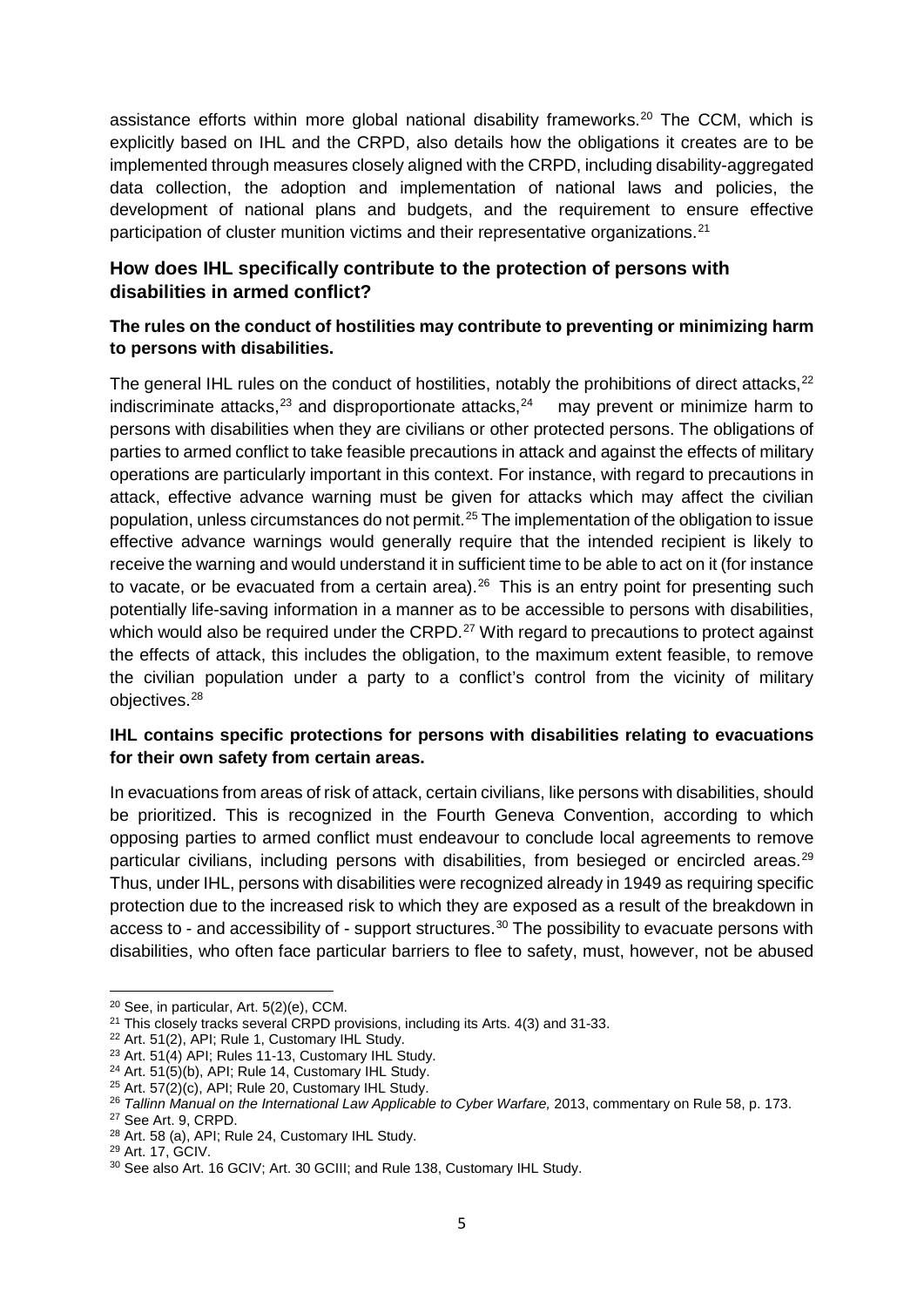assistance efforts within more global national disability frameworks.<sup>[20](#page-4-0)</sup> The CCM, which is explicitly based on IHL and the CRPD, also details how the obligations it creates are to be implemented through measures closely aligned with the CRPD, including disability-aggregated data collection, the adoption and implementation of national laws and policies, the development of national plans and budgets, and the requirement to ensure effective participation of cluster munition victims and their representative organizations.<sup>[21](#page-4-1)</sup>

# **How does IHL specifically contribute to the protection of persons with disabilities in armed conflict?**

### **The rules on the conduct of hostilities may contribute to preventing or minimizing harm to persons with disabilities.**

The general IHL rules on the conduct of hostilities, notably the prohibitions of direct attacks,  $22$ indiscriminate attacks,<sup>23</sup> and disproportionate attacks,<sup>[24](#page-4-4)</sup> may prevent or minimize harm to persons with disabilities when they are civilians or other protected persons. The obligations of parties to armed conflict to take feasible precautions in attack and against the effects of military operations are particularly important in this context. For instance, with regard to precautions in attack, effective advance warning must be given for attacks which may affect the civilian population, unless circumstances do not permit.<sup>[25](#page-4-5)</sup> The implementation of the obligation to issue effective advance warnings would generally require that the intended recipient is likely to receive the warning and would understand it in sufficient time to be able to act on it (for instance to vacate, or be evacuated from a certain area). $26$  This is an entry point for presenting such potentially life-saving information in a manner as to be accessible to persons with disabilities, which would also be required under the CRPD.<sup>[27](#page-4-7)</sup> With regard to precautions to protect against the effects of attack, this includes the obligation, to the maximum extent feasible, to remove the civilian population under a party to a conflict's control from the vicinity of military objectives.[28](#page-4-8)

#### **IHL contains specific protections for persons with disabilities relating to evacuations for their own safety from certain areas.**

In evacuations from areas of risk of attack, certain civilians, like persons with disabilities, should be prioritized. This is recognized in the Fourth Geneva Convention, according to which opposing parties to armed conflict must endeavour to conclude local agreements to remove particular civilians, including persons with disabilities, from besieged or encircled areas.<sup>[29](#page-4-9)</sup> Thus, under IHL, persons with disabilities were recognized already in 1949 as requiring specific protection due to the increased risk to which they are exposed as a result of the breakdown in access to - and accessibility of - support structures.<sup>[30](#page-4-10)</sup> The possibility to evacuate persons with disabilities, who often face particular barriers to flee to safety, must, however, not be abused

l

 $20$  See, in particular, Art.  $5(2)(e)$ , CCM.

<span id="page-4-1"></span><span id="page-4-0"></span><sup>&</sup>lt;sup>21</sup> This closely tracks several CRPD provisions, including its Arts. 4(3) and 31-33.

<span id="page-4-2"></span><sup>22</sup> Art. 51(2), API; Rule 1, Customary IHL Study.

<span id="page-4-3"></span><sup>23</sup> Art. 51(4) API; Rules 11-13, Customary IHL Study.

<span id="page-4-4"></span><sup>24</sup> Art. 51(5)(b), API; Rule 14, Customary IHL Study.

<span id="page-4-5"></span> $25$  Art.  $57(2)(c)$ , API; Rule 20, Customary IHL Study.

<sup>&</sup>lt;sup>26</sup> Tallinn Manual on the International Law Applicable to Cyber Warfare, 2013, commentary on Rule 58, p. 173.

<span id="page-4-7"></span><span id="page-4-6"></span><sup>27</sup> See Art. 9, CRPD.

<span id="page-4-8"></span><sup>28</sup> Art. 58 (a), API; Rule 24, Customary IHL Study.

<sup>29</sup> Art. 17, GCIV.

<span id="page-4-10"></span><span id="page-4-9"></span><sup>30</sup> See also Art. 16 GCIV; Art. 30 GCIII; and Rule 138, Customary IHL Study.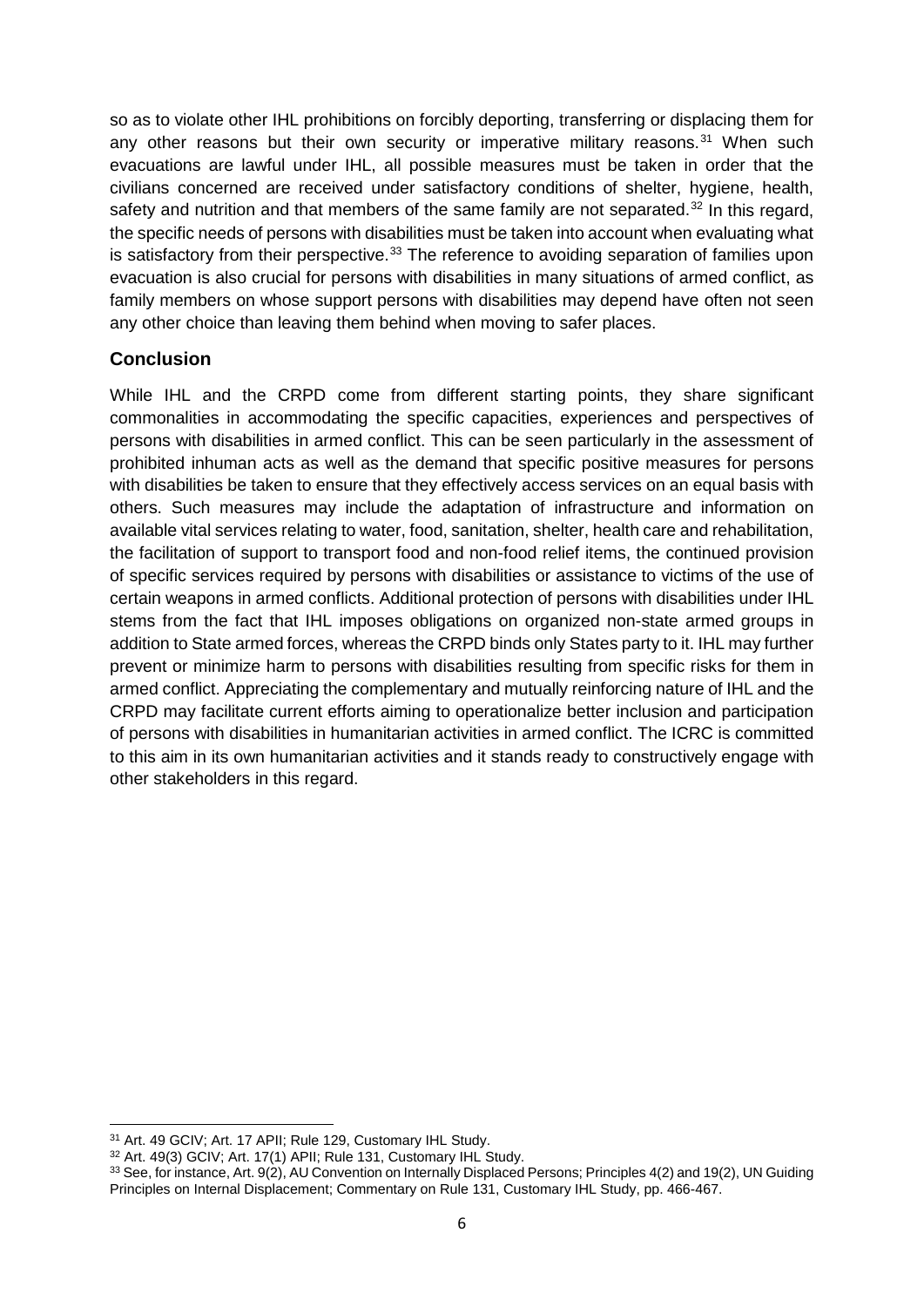so as to violate other IHL prohibitions on forcibly deporting, transferring or displacing them for any other reasons but their own security or imperative military reasons. $31$  When such evacuations are lawful under IHL, all possible measures must be taken in order that the civilians concerned are received under satisfactory conditions of shelter, hygiene, health, safety and nutrition and that members of the same family are not separated.<sup>[32](#page-5-1)</sup> In this regard, the specific needs of persons with disabilities must be taken into account when evaluating what is satisfactory from their perspective.<sup>[33](#page-5-2)</sup> The reference to avoiding separation of families upon evacuation is also crucial for persons with disabilities in many situations of armed conflict, as family members on whose support persons with disabilities may depend have often not seen any other choice than leaving them behind when moving to safer places.

## **Conclusion**

While IHL and the CRPD come from different starting points, they share significant commonalities in accommodating the specific capacities, experiences and perspectives of persons with disabilities in armed conflict. This can be seen particularly in the assessment of prohibited inhuman acts as well as the demand that specific positive measures for persons with disabilities be taken to ensure that they effectively access services on an equal basis with others. Such measures may include the adaptation of infrastructure and information on available vital services relating to water, food, sanitation, shelter, health care and rehabilitation, the facilitation of support to transport food and non-food relief items, the continued provision of specific services required by persons with disabilities or assistance to victims of the use of certain weapons in armed conflicts. Additional protection of persons with disabilities under IHL stems from the fact that IHL imposes obligations on organized non-state armed groups in addition to State armed forces, whereas the CRPD binds only States party to it. IHL may further prevent or minimize harm to persons with disabilities resulting from specific risks for them in armed conflict. Appreciating the complementary and mutually reinforcing nature of IHL and the CRPD may facilitate current efforts aiming to operationalize better inclusion and participation of persons with disabilities in humanitarian activities in armed conflict. The ICRC is committed to this aim in its own humanitarian activities and it stands ready to constructively engage with other stakeholders in this regard.

<sup>31</sup> Art. 49 GCIV; Art. 17 APII; Rule 129, Customary IHL Study.  $\overline{a}$ 

<span id="page-5-1"></span><span id="page-5-0"></span><sup>32</sup> Art. 49(3) GCIV; Art. 17(1) APII; Rule 131, Customary IHL Study.

<span id="page-5-2"></span><sup>33</sup> See, for instance, Art. 9(2), AU Convention on Internally Displaced Persons; Principles 4(2) and 19(2), UN Guiding Principles on Internal Displacement; Commentary on Rule 131, Customary IHL Study, pp. 466-467.